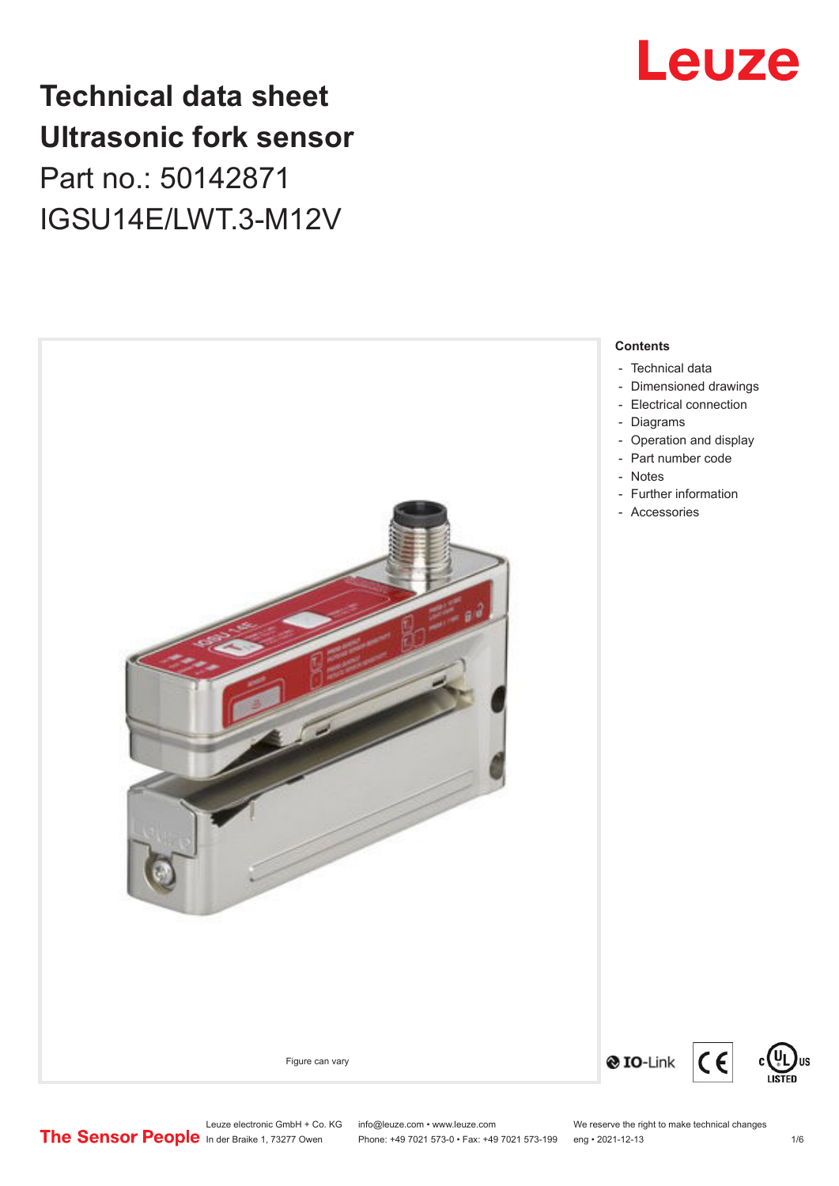## Leuze

## **Technical data sheet Ultrasonic fork sensor**

Part no.: 50142871 IGSU14E/LWT.3-M12V



- [Technical data](#page-1-0)
- [Dimensioned drawings](#page-2-0)
- [Electrical connection](#page-2-0)
- [Operation and display](#page-3-0)
- [Part number code](#page-3-0)
- [Further information](#page-4-0)
- Accessories

 $C \in$ 

Leuze electronic GmbH + Co. KG info@leuze.com • www.leuze.com We reserve the right to make technical changes<br>
The Sensor People in der Braike 1, 73277 Owen Phone: +49 7021 573-0 • Fax: +49 7021 573-199 eng • 2021-12-13 Phone: +49 7021 573-0 • Fax: +49 7021 573-199 eng • 2021-12-13 1 76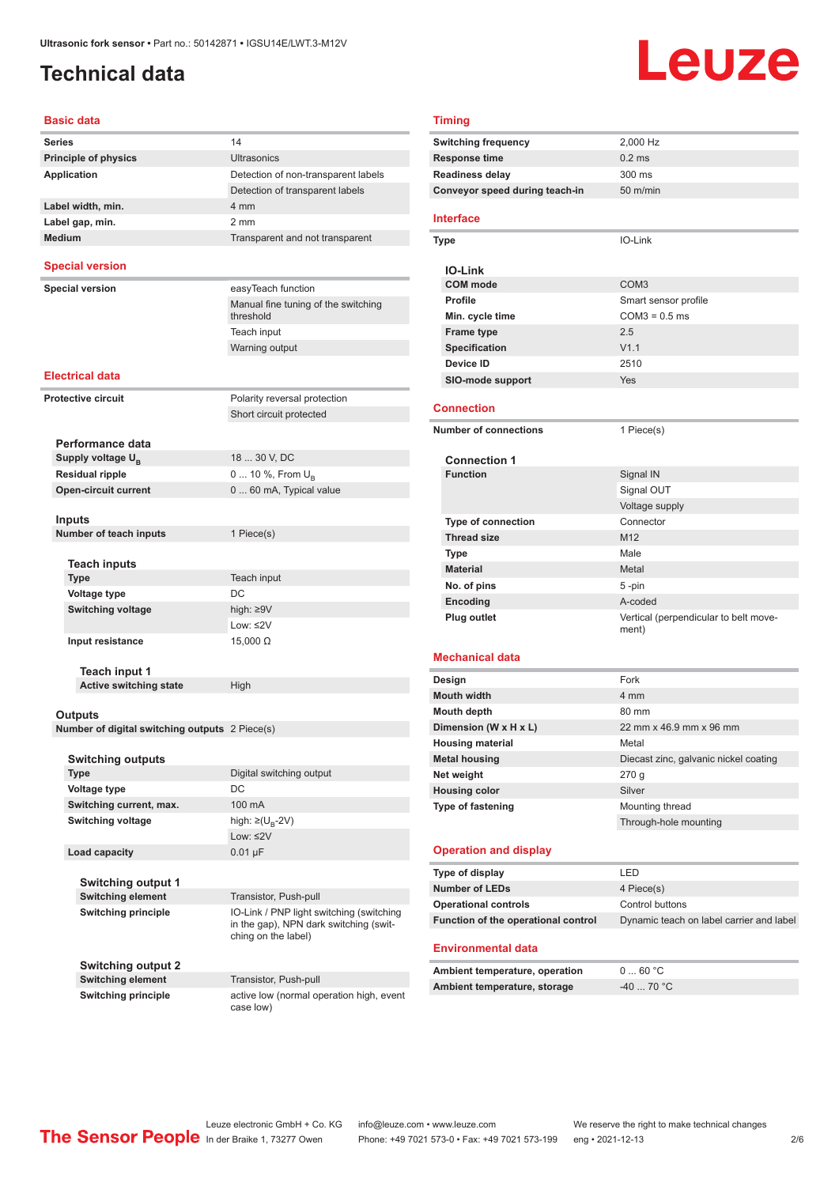## <span id="page-1-0"></span>**Technical data**

# Leuze

#### **Basic data**

|                             | Dasiy uau                                      |                                                  |  |
|-----------------------------|------------------------------------------------|--------------------------------------------------|--|
| Series                      |                                                | 14                                               |  |
| <b>Principle of physics</b> |                                                | <b>Ultrasonics</b>                               |  |
| <b>Application</b>          |                                                | Detection of non-transparent labels              |  |
|                             |                                                | Detection of transparent labels                  |  |
|                             | Label width, min.                              | 4 mm                                             |  |
|                             | Label gap, min.                                | 2 <sub>mm</sub>                                  |  |
|                             | <b>Medium</b>                                  | Transparent and not transparent                  |  |
|                             | <b>Special version</b>                         |                                                  |  |
|                             | <b>Special version</b>                         | easyTeach function                               |  |
|                             |                                                | Manual fine tuning of the switching<br>threshold |  |
|                             |                                                | Teach input                                      |  |
|                             |                                                | Warning output                                   |  |
|                             |                                                |                                                  |  |
|                             | <b>Electrical data</b>                         |                                                  |  |
|                             | <b>Protective circuit</b>                      | Polarity reversal protection                     |  |
|                             |                                                | Short circuit protected                          |  |
|                             |                                                |                                                  |  |
|                             | Performance data                               |                                                  |  |
|                             | Supply voltage U <sub>R</sub>                  | 18  30 V, DC                                     |  |
|                             | <b>Residual ripple</b>                         | 0  10 %, From U <sub>B</sub>                     |  |
|                             | <b>Open-circuit current</b>                    | 0  60 mA, Typical value                          |  |
|                             |                                                |                                                  |  |
|                             | Inputs                                         |                                                  |  |
|                             | Number of teach inputs                         | 1 Piece(s)                                       |  |
|                             |                                                |                                                  |  |
|                             | <b>Teach inputs</b>                            |                                                  |  |
|                             | <b>Type</b>                                    | Teach input                                      |  |
|                             | <b>Voltage type</b>                            | DC                                               |  |
|                             | <b>Switching voltage</b>                       | high: ≥9V                                        |  |
|                             |                                                | Low: $\leq 2V$                                   |  |
|                             | Input resistance                               | $15,000 \Omega$                                  |  |
|                             |                                                |                                                  |  |
|                             | Teach input 1<br><b>Active switching state</b> |                                                  |  |
|                             |                                                | High                                             |  |
|                             | Outputs                                        |                                                  |  |
|                             | Number of digital switching outputs 2 Piece(s) |                                                  |  |
|                             |                                                |                                                  |  |
|                             | <b>Switching outputs</b>                       |                                                  |  |
|                             | Type                                           | Digital switching output                         |  |
|                             | Voltage type                                   | DC                                               |  |
|                             | Switching current, max.                        | 100 mA                                           |  |
|                             | <b>Switching voltage</b>                       | high: $\geq (U_{B} - 2V)$                        |  |
|                             |                                                | Low: $\leq 2V$                                   |  |
|                             | Load capacity                                  | $0.01 \mu F$                                     |  |
|                             |                                                |                                                  |  |
|                             |                                                |                                                  |  |

**Switching output 1 Switching element** Transistor, Push-pull

**Switching output 2**

**Switching principle** IO-Link / PNP light switching (switching in the gap), NPN dark switching (switching on the label)

**Switching element** Transistor, Push-pull **Switching principle active low (normal operation high, event** case low)

| <b>Timing</b>                                    |                                                |  |  |
|--------------------------------------------------|------------------------------------------------|--|--|
| Switching frequency                              | 2,000 Hz                                       |  |  |
| <b>Response time</b>                             | 0.2 <sub>ms</sub>                              |  |  |
| Readiness delay                                  | 300 ms                                         |  |  |
| Conveyor speed during teach-in                   | $50$ m/min                                     |  |  |
|                                                  |                                                |  |  |
| Interface                                        |                                                |  |  |
| <b>Type</b>                                      | IO-Link                                        |  |  |
|                                                  |                                                |  |  |
| <b>IO-Link</b>                                   |                                                |  |  |
| <b>COM</b> mode                                  | COM <sub>3</sub>                               |  |  |
| Profile                                          | Smart sensor profile                           |  |  |
| Min. cycle time                                  | $COM3 = 0.5$ ms                                |  |  |
| <b>Frame type</b>                                | 2.5                                            |  |  |
| <b>Specification</b>                             | V1.1                                           |  |  |
| Device ID                                        | 2510                                           |  |  |
| <b>SIO-mode support</b>                          | Yes                                            |  |  |
| <b>Connection</b>                                |                                                |  |  |
| <b>Number of connections</b>                     |                                                |  |  |
|                                                  | 1 Piece(s)                                     |  |  |
| <b>Connection 1</b>                              |                                                |  |  |
| <b>Function</b>                                  | Signal IN                                      |  |  |
|                                                  | Signal OUT                                     |  |  |
|                                                  | Voltage supply                                 |  |  |
| <b>Type of connection</b>                        | Connector                                      |  |  |
| <b>Thread size</b>                               | M12                                            |  |  |
| Type                                             | Male                                           |  |  |
| <b>Material</b>                                  | Metal                                          |  |  |
| No. of pins                                      | 5 -pin                                         |  |  |
| Encoding                                         | A-coded                                        |  |  |
| <b>Plug outlet</b>                               | Vertical (perpendicular to belt move-          |  |  |
|                                                  | ment)                                          |  |  |
| Mechanical data                                  |                                                |  |  |
|                                                  | Fork                                           |  |  |
| Design                                           |                                                |  |  |
| <b>Mouth width</b>                               | 4 mm                                           |  |  |
| Mouth depth                                      | 80 mm<br>22 mm x 46.9 mm x 96 mm               |  |  |
| Dimension (W x H x L)<br><b>Housing material</b> | Metal                                          |  |  |
| <b>Metal housing</b>                             |                                                |  |  |
| Net weight                                       | Diecast zinc, galvanic nickel coating<br>270 g |  |  |
| <b>Housing color</b>                             | Silver                                         |  |  |
| Type of fastening                                | Mounting thread                                |  |  |
|                                                  | Through-hole mounting                          |  |  |
|                                                  |                                                |  |  |
| <b>Operation and display</b>                     |                                                |  |  |
| Type of display                                  | LED                                            |  |  |
| <b>Number of LEDs</b>                            | 4 Piece(s)                                     |  |  |
| <b>Operational controls</b>                      | Control buttons                                |  |  |
| Function of the operational control              | Dynamic teach on label carrier and label       |  |  |
|                                                  |                                                |  |  |
| <b>Environmental data</b>                        |                                                |  |  |
| Ambient temperature, operation                   | 060 °C                                         |  |  |
| Ambient temperature, storage                     | $-4070 °C$                                     |  |  |
|                                                  |                                                |  |  |
|                                                  |                                                |  |  |

Leuze electronic GmbH + Co. KG info@leuze.com • www.leuze.com We reserve the right to make technical changes<br> **The Sensor People** In der Braike 1, 73277 Owen Phone: +49 7021 573-0 • Fax: +49 7021 573-199 eng • 2021-12-13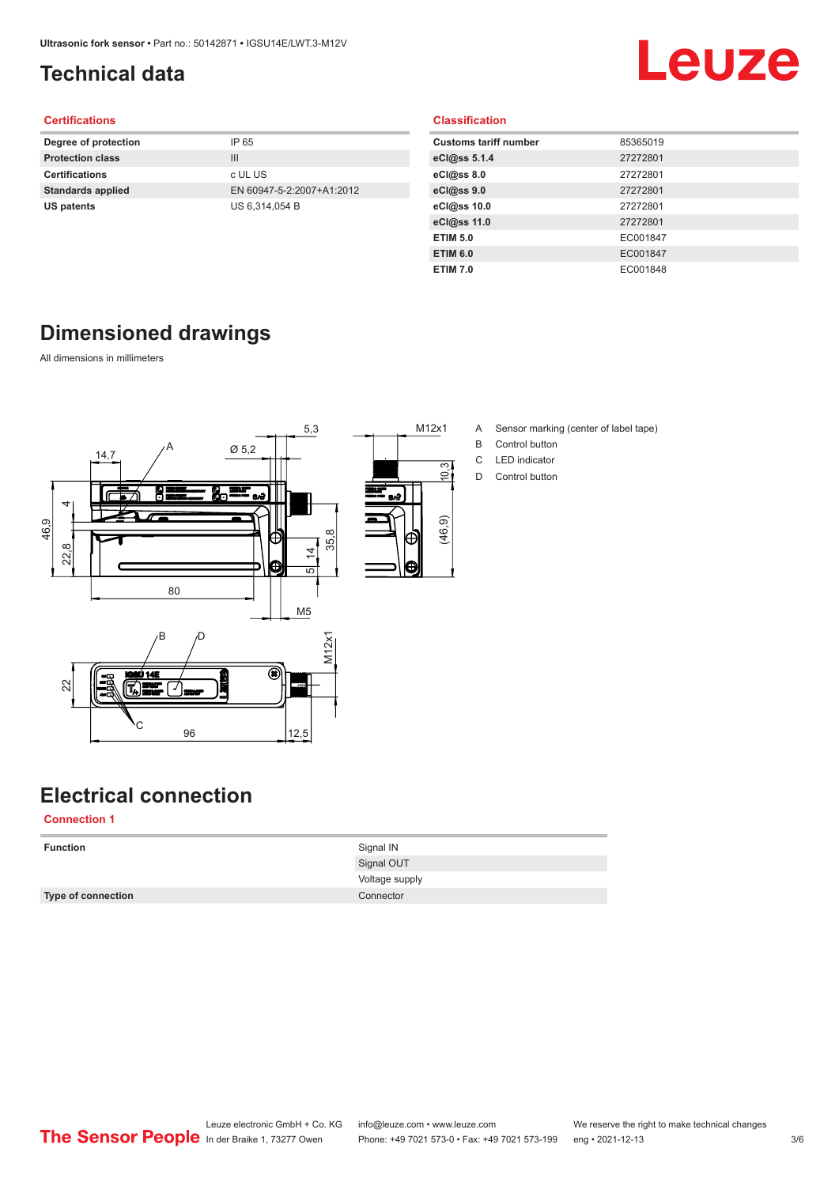## <span id="page-2-0"></span>**Technical data**

## Leuze

#### **Certifications**

| Degree of protection     | IP 65                     |
|--------------------------|---------------------------|
| <b>Protection class</b>  | Ш                         |
| <b>Certifications</b>    | c UL US                   |
| <b>Standards applied</b> | EN 60947-5-2:2007+A1:2012 |
| US patents               | US 6.314.054 B            |
|                          |                           |

#### **Classification**

| <b>Customs tariff number</b> | 85365019 |
|------------------------------|----------|
| eCl@ss 5.1.4                 | 27272801 |
| eCl@ss 8.0                   | 27272801 |
| eCl@ss 9.0                   | 27272801 |
| eCl@ss 10.0                  | 27272801 |
| eCl@ss 11.0                  | 27272801 |
| <b>ETIM 5.0</b>              | EC001847 |
| <b>ETIM 6.0</b>              | EC001847 |
| <b>ETIM 7.0</b>              | EC001848 |

## **Dimensioned drawings**

All dimensions in millimeters



- M12x1 A Sensor marking (center of label tape)
	- B Control button
	- C LED indicator
	- D Control button

## **Electrical connection**

**Connection 1**

| <b>Function</b>           | Signal IN      |
|---------------------------|----------------|
|                           | Signal OUT     |
|                           | Voltage supply |
| <b>Type of connection</b> | Connector      |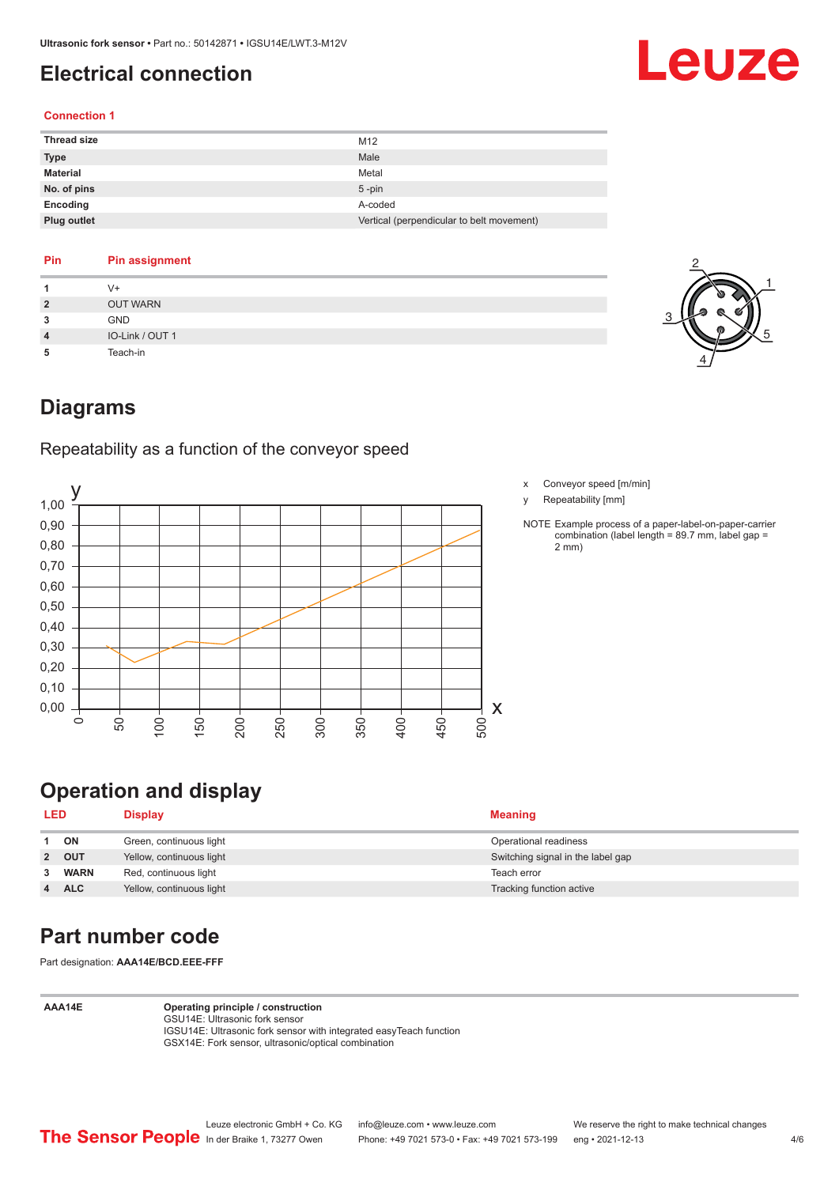## <span id="page-3-0"></span>**Electrical connection**

## Leuze

#### **Connection 1**

| <b>Thread size</b> | M12                                       |
|--------------------|-------------------------------------------|
| <b>Type</b>        | Male                                      |
| <b>Material</b>    | Metal                                     |
| No. of pins        | $5$ -pin                                  |
| Encoding           | A-coded                                   |
| Plug outlet        | Vertical (perpendicular to belt movement) |

#### **Pin Pin assignment**

| 1              | V+              |
|----------------|-----------------|
| $\overline{2}$ | <b>OUT WARN</b> |
| 3              | <b>GND</b>      |
| $\overline{4}$ | IO-Link / OUT 1 |
| 5              | Teach-in        |



### **Diagrams**

Repeatability as a function of the conveyor speed



- x Conveyor speed [m/min]
- y Repeatability [mm]
- NOTE Example process of a paper-label-on-paper-carrier combination (label length = 89.7 mm, label gap = 2 mm)

## **Operation and display**

| <b>LED</b> |             | Display                  | <b>Meaning</b>                    |
|------------|-------------|--------------------------|-----------------------------------|
|            | ON          | Green, continuous light  | Operational readiness             |
|            | 2 OUT       | Yellow, continuous light | Switching signal in the label gap |
|            | <b>WARN</b> | Red, continuous light    | Teach error                       |
|            | <b>ALC</b>  | Yellow, continuous light | Tracking function active          |

## **Part number code**

Part designation: **AAA14E/BCD.EEE-FFF**

**AAA14E Operating principle / construction**

GSU14E: Ultrasonic fork sensor IGSU14E: Ultrasonic fork sensor with integrated easyTeach function GSX14E: Fork sensor, ultrasonic/optical combination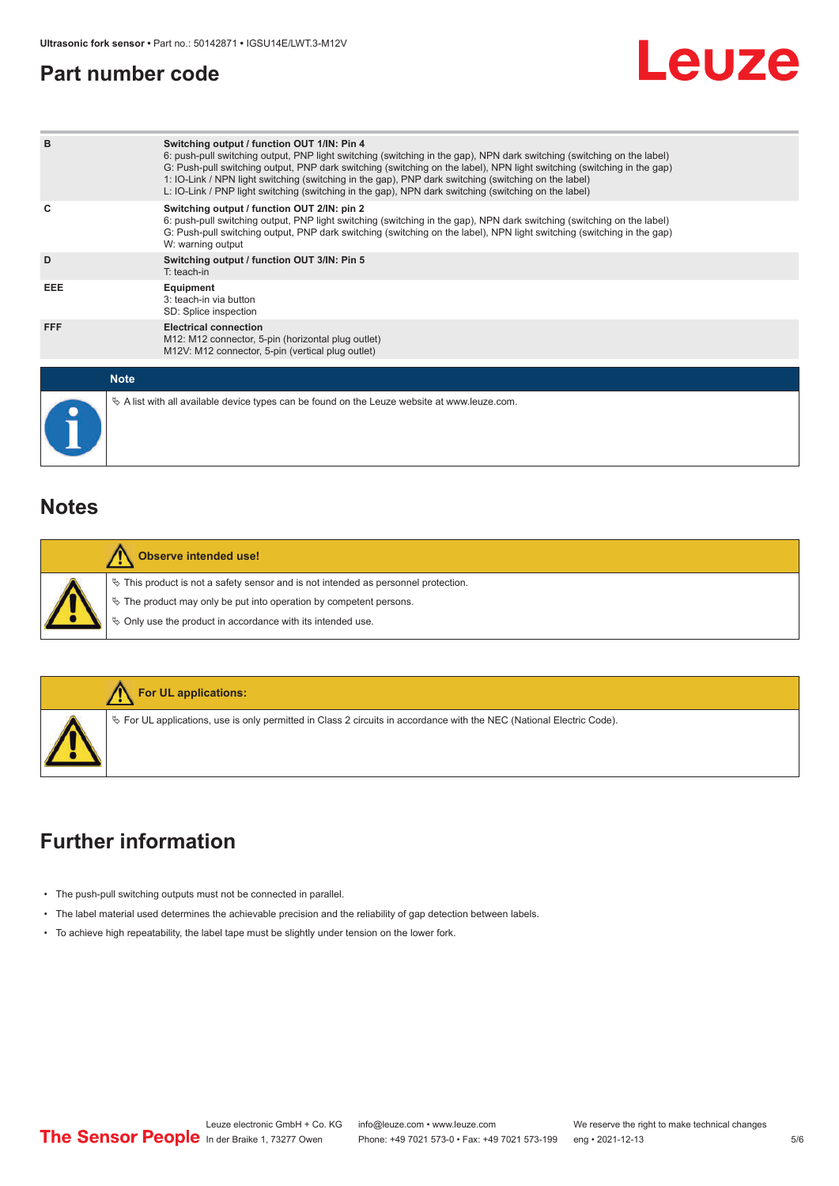### <span id="page-4-0"></span>**Part number code**



| B           | Switching output / function OUT 1/IN: Pin 4<br>6: push-pull switching output, PNP light switching (switching in the gap), NPN dark switching (switching on the label)<br>G: Push-pull switching output, PNP dark switching (switching on the label), NPN light switching (switching in the gap)<br>1: IO-Link / NPN light switching (switching in the gap), PNP dark switching (switching on the label)<br>L: IO-Link / PNP light switching (switching in the gap), NPN dark switching (switching on the label) |
|-------------|-----------------------------------------------------------------------------------------------------------------------------------------------------------------------------------------------------------------------------------------------------------------------------------------------------------------------------------------------------------------------------------------------------------------------------------------------------------------------------------------------------------------|
| c           | Switching output / function OUT 2/IN: pin 2<br>6: push-pull switching output, PNP light switching (switching in the gap), NPN dark switching (switching on the label)<br>G: Push-pull switching output, PNP dark switching (switching on the label), NPN light switching (switching in the gap)<br>W: warning output                                                                                                                                                                                            |
| D           | Switching output / function OUT 3/IN: Pin 5<br>$T:$ teach-in                                                                                                                                                                                                                                                                                                                                                                                                                                                    |
| EEE         | Equipment<br>3: teach-in via button<br>SD: Splice inspection                                                                                                                                                                                                                                                                                                                                                                                                                                                    |
| <b>FFF</b>  | <b>Electrical connection</b><br>M12: M12 connector, 5-pin (horizontal plug outlet)<br>M12V: M12 connector, 5-pin (vertical plug outlet)                                                                                                                                                                                                                                                                                                                                                                         |
| <b>Note</b> |                                                                                                                                                                                                                                                                                                                                                                                                                                                                                                                 |
|             | $\&$ A list with all available device types can be found on the Leuze website at www.leuze.com.                                                                                                                                                                                                                                                                                                                                                                                                                 |

### **Notes**

| Observe intended use!                                                                                                                                                                                                      |
|----------------------------------------------------------------------------------------------------------------------------------------------------------------------------------------------------------------------------|
| $\%$ This product is not a safety sensor and is not intended as personnel protection.<br>§ The product may only be put into operation by competent persons.<br>§ Only use the product in accordance with its intended use. |



## **Further information**

- The push-pull switching outputs must not be connected in parallel.
- The label material used determines the achievable precision and the reliability of gap detection between labels.
- To achieve high repeatability, the label tape must be slightly under tension on the lower fork.